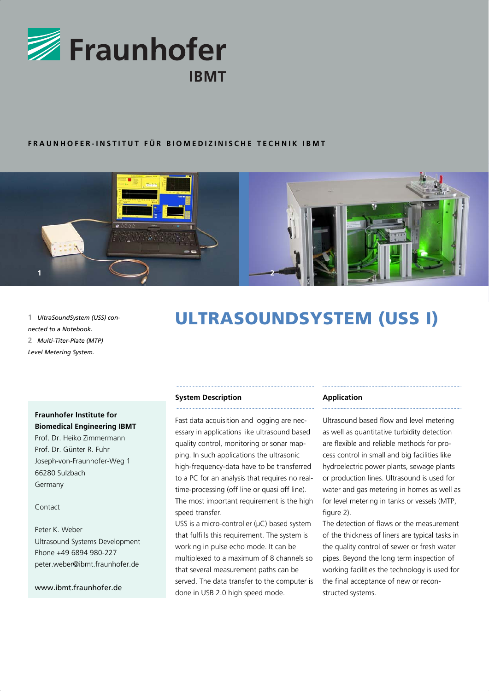

## **FRAUNHOFER-INSTITUT FÜR BIOMEDIZINISCHE TECHNIK IBMT**



*nected to a Notebook.* **2** *Multi-Titer-Plate (MTP) Level Metering System.*

# 1 *UltraSoundSystem (USS) con*-<br> **ULTRASOUNDSYSTEM (USS I)**

## **Fraunhofer Institute for Biomedical Engineering IBMT**

Prof. Dr. Heiko Zimmermann Prof. Dr. Günter R. Fuhr Joseph-von-Fraunhofer-Weg 1 66280 Sulzbach Germany

## Contact

Peter K. Weber Ultrasound Systems Development Phone +49 6894 980-227 peter.weber@ibmt.fraunhofer.de

www.ibmt.fraunhofer.de

## **System Description**

Fast data acquisition and logging are necessary in applications like ultrasound based quality control, monitoring or sonar mapping. In such applications the ultrasonic high-frequency-data have to be transferred to a PC for an analysis that requires no realtime-processing (off line or quasi off line). The most important requirement is the high speed transfer.

USS is a micro-controller (μC) based system that fulfills this requirement. The system is working in pulse echo mode. It can be multiplexed to a maximum of 8 channels so that several measurement paths can be served. The data transfer to the computer is done in USB 2.0 high speed mode.

#### **Application**

Ultrasound based flow and level metering as well as quantitative turbidity detection are flexible and reliable methods for process control in small and big facilities like hydroelectric power plants, sewage plants or production lines. Ultrasound is used for water and gas metering in homes as well as for level metering in tanks or vessels (MTP, figure 2).

The detection of flaws or the measurement of the thickness of liners are typical tasks in the quality control of sewer or fresh water pipes. Beyond the long term inspection of working facilities the technology is used for the final acceptance of new or reconstructed systems.